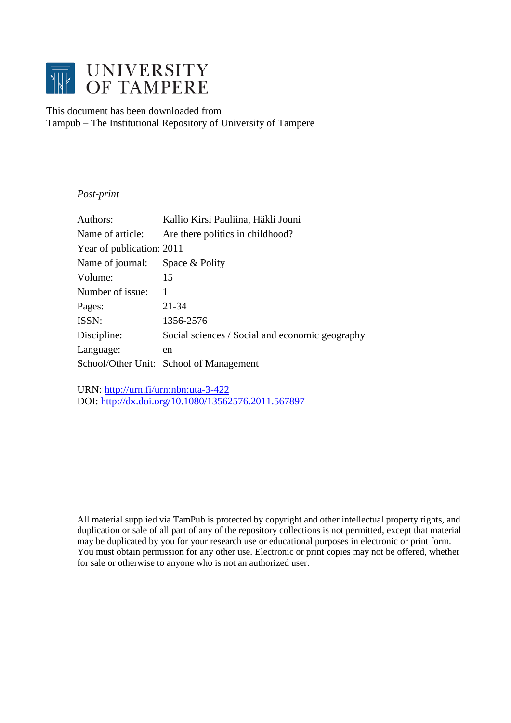

This document has been downloaded from Tampub – The Institutional Repository of University of Tampere

## *Post-print*

| Authors:                  | Kallio Kirsi Pauliina, Häkli Jouni              |
|---------------------------|-------------------------------------------------|
| Name of article:          | Are there politics in childhood?                |
| Year of publication: 2011 |                                                 |
| Name of journal:          | Space & Polity                                  |
| Volume:                   | 15                                              |
| Number of issue:          | 1                                               |
| Pages:                    | $21 - 34$                                       |
| ISSN:                     | 1356-2576                                       |
| Discipline:               | Social sciences / Social and economic geography |
| Language:                 | en                                              |
|                           | School/Other Unit: School of Management         |

URN:<http://urn.fi/urn:nbn:uta-3-422> DOI:<http://dx.doi.org/10.1080/13562576.2011.567897>

All material supplied via TamPub is protected by copyright and other intellectual property rights, and duplication or sale of all part of any of the repository collections is not permitted, except that material may be duplicated by you for your research use or educational purposes in electronic or print form. You must obtain permission for any other use. Electronic or print copies may not be offered, whether for sale or otherwise to anyone who is not an authorized user.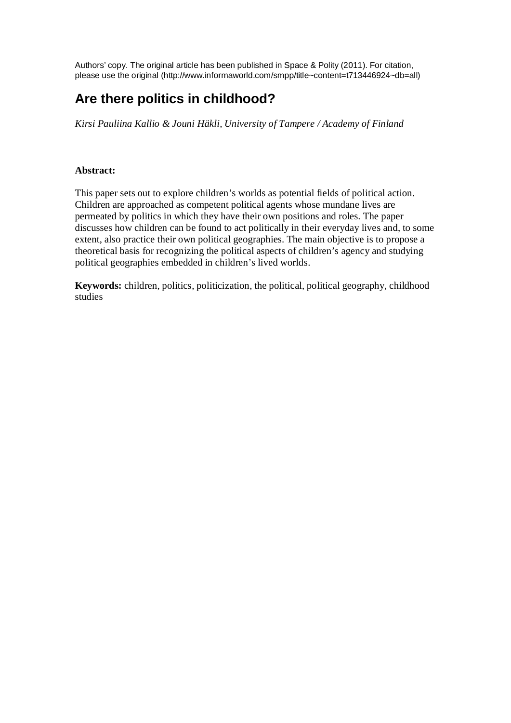Authors' copy. The original article has been published in Space & Polity (2011). For citation, please use the original (http://www.informaworld.com/smpp/title~content=t713446924~db=all)

# **Are there politics in childhood?**

*Kirsi Pauliina Kallio & Jouni Häkli, University of Tampere / Academy of Finland* 

## **Abstract:**

This paper sets out to explore children's worlds as potential fields of political action. Children are approached as competent political agents whose mundane lives are permeated by politics in which they have their own positions and roles. The paper discusses how children can be found to act politically in their everyday lives and, to some extent, also practice their own political geographies. The main objective is to propose a theoretical basis for recognizing the political aspects of children's agency and studying political geographies embedded in children's lived worlds.

**Keywords:** children, politics, politicization, the political, political geography, childhood studies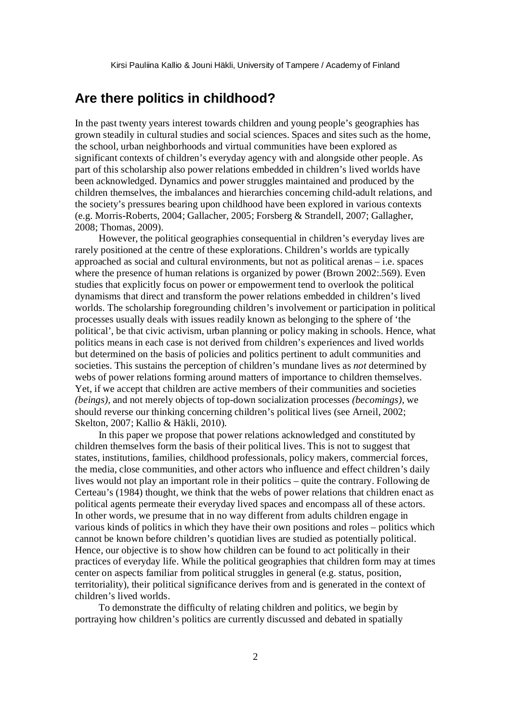## **Are there politics in childhood?**

In the past twenty years interest towards children and young people's geographies has grown steadily in cultural studies and social sciences. Spaces and sites such as the home, the school, urban neighborhoods and virtual communities have been explored as significant contexts of children's everyday agency with and alongside other people. As part of this scholarship also power relations embedded in children's lived worlds have been acknowledged. Dynamics and power struggles maintained and produced by the children themselves, the imbalances and hierarchies concerning child-adult relations, and the society's pressures bearing upon childhood have been explored in various contexts (e.g. Morris-Roberts, 2004; Gallacher, 2005; Forsberg & Strandell, 2007; Gallagher, 2008; Thomas, 2009).

However, the political geographies consequential in children's everyday lives are rarely positioned at the centre of these explorations. Children's worlds are typically approached as social and cultural environments, but not as political arenas – i.e. spaces where the presence of human relations is organized by power (Brown 2002:.569). Even studies that explicitly focus on power or empowerment tend to overlook the political dynamisms that direct and transform the power relations embedded in children's lived worlds. The scholarship foregrounding children's involvement or participation in political processes usually deals with issues readily known as belonging to the sphere of 'the political', be that civic activism, urban planning or policy making in schools. Hence, what politics means in each case is not derived from children's experiences and lived worlds but determined on the basis of policies and politics pertinent to adult communities and societies. This sustains the perception of children's mundane lives as *not* determined by webs of power relations forming around matters of importance to children themselves. Yet, if we accept that children are active members of their communities and societies *(beings)*, and not merely objects of top-down socialization processes *(becomings)*, we should reverse our thinking concerning children's political lives (see Arneil, 2002; Skelton, 2007; Kallio & Häkli, 2010).

In this paper we propose that power relations acknowledged and constituted by children themselves form the basis of their political lives. This is not to suggest that states, institutions, families, childhood professionals, policy makers, commercial forces, the media, close communities, and other actors who influence and effect children's daily lives would not play an important role in their politics – quite the contrary. Following de Certeau's (1984) thought, we think that the webs of power relations that children enact as political agents permeate their everyday lived spaces and encompass all of these actors. In other words, we presume that in no way different from adults children engage in various kinds of politics in which they have their own positions and roles – politics which cannot be known before children's quotidian lives are studied as potentially political. Hence, our objective is to show how children can be found to act politically in their practices of everyday life. While the political geographies that children form may at times center on aspects familiar from political struggles in general (e.g. status, position, territoriality), their political significance derives from and is generated in the context of children's lived worlds.

To demonstrate the difficulty of relating children and politics, we begin by portraying how children's politics are currently discussed and debated in spatially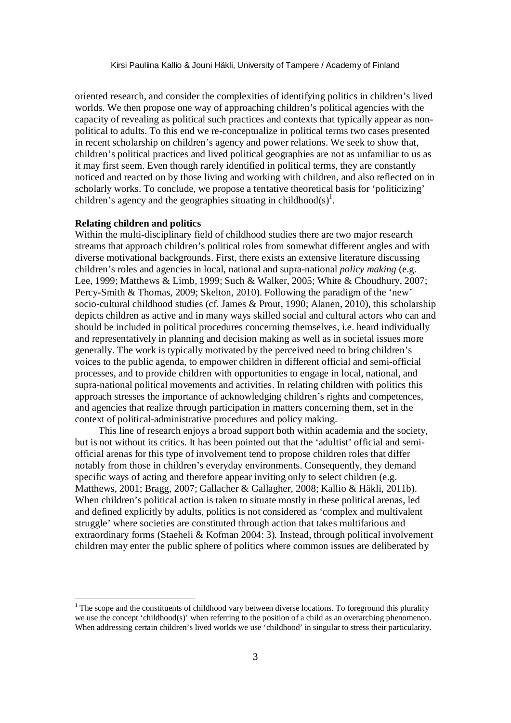oriented research, and consider the complexities of identifying politics in children's lived worlds. We then propose one way of approaching children's political agencies with the capacity of revealing as political such practices and contexts that typically appear as nonpolitical to adults. To this end we re-conceptualize in political terms two cases presented in recent scholarship on children's agency and power relations. We seek to show that, children's political practices and lived political geographies are not as unfamiliar to us as it may first seem. Even though rarely identified in political terms, they are constantly noticed and reacted on by those living and working with children, and also reflected on in scholarly works. To conclude, we propose a tentative theoretical basis for 'politicizing' children's agency and the geographies situating in childhood(s)<sup>1</sup>.

#### **Relating children and politics**

 $\overline{a}$ 

Within the multi-disciplinary field of childhood studies there are two major research streams that approach children's political roles from somewhat different angles and with diverse motivational backgrounds. First, there exists an extensive literature discussing children's roles and agencies in local, national and supra-national *policy making* (e.g. Lee, 1999; Matthews & Limb, 1999; Such & Walker, 2005; White & Choudhury, 2007; Percy-Smith & Thomas, 2009; Skelton, 2010). Following the paradigm of the 'new' socio-cultural childhood studies (cf. James & Prout, 1990; Alanen, 2010), this scholarship depicts children as active and in many ways skilled social and cultural actors who can and should be included in political procedures concerning themselves, i.e. heard individually and representatively in planning and decision making as well as in societal issues more generally. The work is typically motivated by the perceived need to bring children's voices to the public agenda, to empower children in different official and semi-official processes, and to provide children with opportunities to engage in local, national, and supra-national political movements and activities. In relating children with politics this approach stresses the importance of acknowledging children's rights and competences, and agencies that realize through participation in matters concerning them, set in the context of political-administrative procedures and policy making.

This line of research enjoys a broad support both within academia and the society, but is not without its critics. It has been pointed out that the 'adultist' official and semiofficial arenas for this type of involvement tend to propose children roles that differ notably from those in children's everyday environments. Consequently, they demand specific ways of acting and therefore appear inviting only to select children (e.g. Matthews, 2001; Bragg, 2007; Gallacher & Gallagher, 2008; Kallio & Häkli, 2011b). When children's political action is taken to situate mostly in these political arenas, led and defined explicitly by adults, politics is not considered as 'complex and multivalent struggle' where societies are constituted through action that takes multifarious and extraordinary forms (Staeheli & Kofman 2004: 3). Instead, through political involvement children may enter the public sphere of politics where common issues are deliberated by

 $1$ <sup>1</sup> The scope and the constituents of childhood vary between diverse locations. To foreground this plurality we use the concept 'childhood(s)' when referring to the position of a child as an overarching phenomenon. When addressing certain children's lived worlds we use 'childhood' in singular to stress their particularity.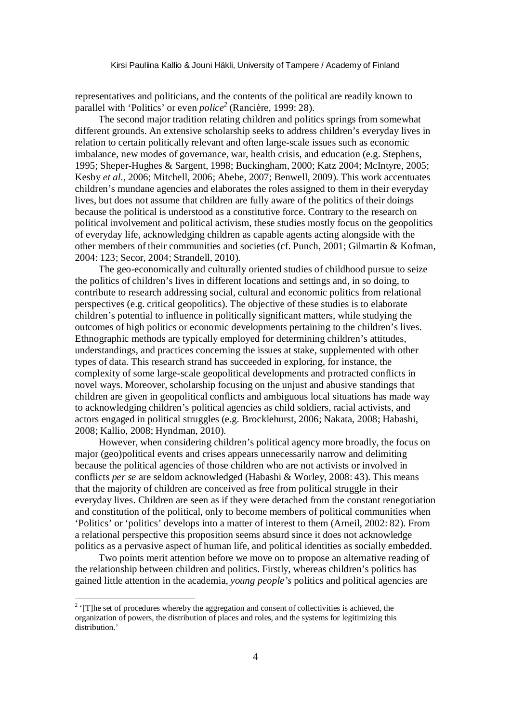representatives and politicians, and the contents of the political are readily known to parallel with 'Politics' or even *police<sup>2</sup>* (Rancière, 1999: 28).

The second major tradition relating children and politics springs from somewhat different grounds. An extensive scholarship seeks to address children's everyday lives in relation to certain politically relevant and often large-scale issues such as economic imbalance, new modes of governance, war, health crisis, and education (e.g. Stephens, 1995; Sheper-Hughes & Sargent, 1998; Buckingham, 2000; Katz 2004; McIntyre, 2005; Kesby *et al.*, 2006; Mitchell, 2006; Abebe, 2007; Benwell, 2009). This work accentuates children's mundane agencies and elaborates the roles assigned to them in their everyday lives, but does not assume that children are fully aware of the politics of their doings because the political is understood as a constitutive force. Contrary to the research on political involvement and political activism, these studies mostly focus on the geopolitics of everyday life, acknowledging children as capable agents acting alongside with the other members of their communities and societies (cf. Punch, 2001; Gilmartin & Kofman, 2004: 123; Secor, 2004; Strandell, 2010).

The geo-economically and culturally oriented studies of childhood pursue to seize the politics of children's lives in different locations and settings and, in so doing, to contribute to research addressing social, cultural and economic politics from relational perspectives (e.g. critical geopolitics). The objective of these studies is to elaborate children's potential to influence in politically significant matters, while studying the outcomes of high politics or economic developments pertaining to the children's lives. Ethnographic methods are typically employed for determining children's attitudes, understandings, and practices concerning the issues at stake, supplemented with other types of data. This research strand has succeeded in exploring, for instance, the complexity of some large-scale geopolitical developments and protracted conflicts in novel ways. Moreover, scholarship focusing on the unjust and abusive standings that children are given in geopolitical conflicts and ambiguous local situations has made way to acknowledging children's political agencies as child soldiers, racial activists, and actors engaged in political struggles (e.g. Brocklehurst, 2006; Nakata, 2008; Habashi, 2008; Kallio, 2008; Hyndman, 2010).

However, when considering children's political agency more broadly, the focus on major (geo)political events and crises appears unnecessarily narrow and delimiting because the political agencies of those children who are not activists or involved in conflicts *per se* are seldom acknowledged (Habashi & Worley, 2008: 43). This means that the majority of children are conceived as free from political struggle in their everyday lives. Children are seen as if they were detached from the constant renegotiation and constitution of the political, only to become members of political communities when 'Politics' or 'politics' develops into a matter of interest to them (Arneil, 2002: 82). From a relational perspective this proposition seems absurd since it does not acknowledge politics as a pervasive aspect of human life, and political identities as socially embedded.

Two points merit attention before we move on to propose an alternative reading of the relationship between children and politics. Firstly, whereas children's politics has gained little attention in the academia, *young people's* politics and political agencies are

 $\overline{a}$ 

 $2 \cdot$  [T]he set of procedures whereby the aggregation and consent of collectivities is achieved, the organization of powers, the distribution of places and roles, and the systems for legitimizing this distribution<sup>'</sup>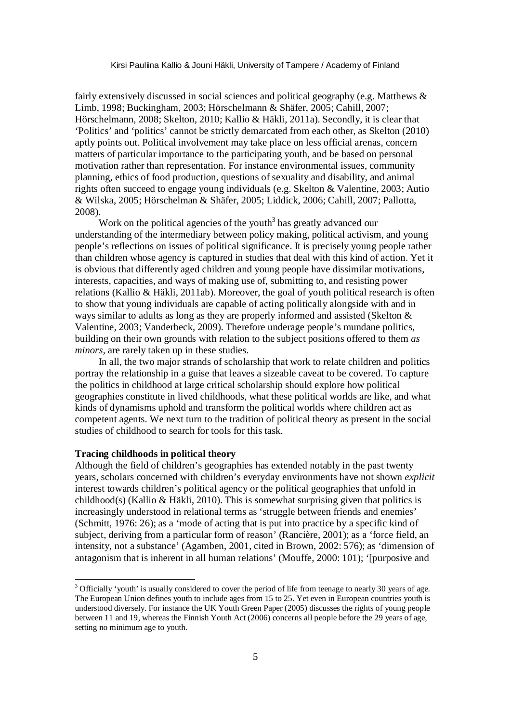fairly extensively discussed in social sciences and political geography (e.g. Matthews & Limb, 1998; Buckingham, 2003; Hörschelmann & Shäfer, 2005; Cahill, 2007; Hörschelmann, 2008; Skelton, 2010; Kallio & Häkli, 2011a). Secondly, it is clear that 'Politics' and 'politics' cannot be strictly demarcated from each other, as Skelton (2010) aptly points out. Political involvement may take place on less official arenas, concern matters of particular importance to the participating youth, and be based on personal motivation rather than representation. For instance environmental issues, community planning, ethics of food production, questions of sexuality and disability, and animal rights often succeed to engage young individuals (e.g. Skelton & Valentine, 2003; Autio & Wilska, 2005; Hörschelman & Shäfer, 2005; Liddick, 2006; Cahill, 2007; Pallotta, 2008).

Work on the political agencies of the youth<sup>3</sup> has greatly advanced our understanding of the intermediary between policy making, political activism, and young people's reflections on issues of political significance. It is precisely young people rather than children whose agency is captured in studies that deal with this kind of action. Yet it is obvious that differently aged children and young people have dissimilar motivations, interests, capacities, and ways of making use of, submitting to, and resisting power relations (Kallio & Häkli, 2011ab). Moreover, the goal of youth political research is often to show that young individuals are capable of acting politically alongside with and in ways similar to adults as long as they are properly informed and assisted (Skelton & Valentine, 2003; Vanderbeck, 2009). Therefore underage people's mundane politics, building on their own grounds with relation to the subject positions offered to them *as minors*, are rarely taken up in these studies.

In all, the two major strands of scholarship that work to relate children and politics portray the relationship in a guise that leaves a sizeable caveat to be covered. To capture the politics in childhood at large critical scholarship should explore how political geographies constitute in lived childhoods, what these political worlds are like, and what kinds of dynamisms uphold and transform the political worlds where children act as competent agents. We next turn to the tradition of political theory as present in the social studies of childhood to search for tools for this task.

## **Tracing childhoods in political theory**

Although the field of children's geographies has extended notably in the past twenty years, scholars concerned with children's everyday environments have not shown *explicit* interest towards children's political agency or the political geographies that unfold in childhood(s) (Kallio & Häkli, 2010). This is somewhat surprising given that politics is increasingly understood in relational terms as 'struggle between friends and enemies' (Schmitt, 1976: 26); as a 'mode of acting that is put into practice by a specific kind of subject, deriving from a particular form of reason' (Rancière, 2001); as a 'force field, an intensity, not a substance' (Agamben, 2001, cited in Brown, 2002: 576); as 'dimension of antagonism that is inherent in all human relations' (Mouffe, 2000: 101); '[purposive and

<sup>&</sup>lt;sup>3</sup> Officially 'youth' is usually considered to cover the period of life from teenage to nearly 30 years of age. The European Union defines youth to include ages from 15 to 25. Yet even in European countries youth is understood diversely. For instance the UK Youth Green Paper (2005) discusses the rights of young people between 11 and 19, whereas the Finnish Youth Act (2006) concerns all people before the 29 years of age, setting no minimum age to youth.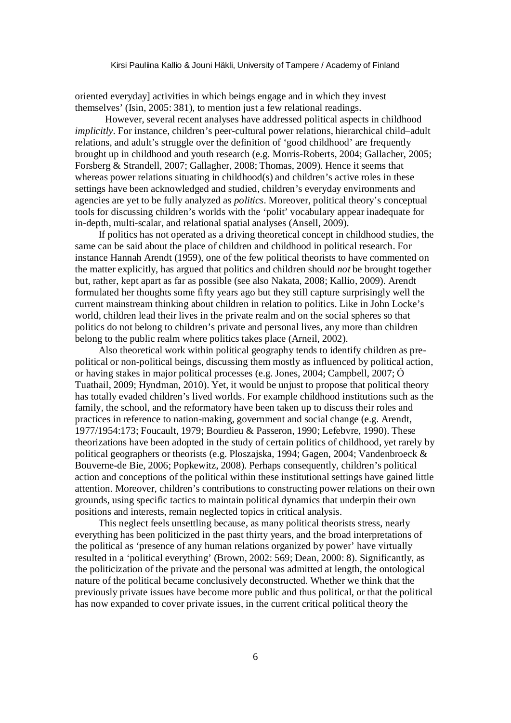oriented everyday] activities in which beings engage and in which they invest themselves' (Isin, 2005: 381), to mention just a few relational readings.

However, several recent analyses have addressed political aspects in childhood *implicitly*. For instance, children's peer-cultural power relations, hierarchical child–adult relations, and adult's struggle over the definition of 'good childhood' are frequently brought up in childhood and youth research (e.g. Morris-Roberts, 2004; Gallacher, 2005; Forsberg & Strandell, 2007; Gallagher, 2008; Thomas, 2009). Hence it seems that whereas power relations situating in childhood(s) and children's active roles in these settings have been acknowledged and studied, children's everyday environments and agencies are yet to be fully analyzed as *politics*. Moreover, political theory's conceptual tools for discussing children's worlds with the 'polit' vocabulary appear inadequate for in-depth, multi-scalar, and relational spatial analyses (Ansell, 2009).

If politics has not operated as a driving theoretical concept in childhood studies, the same can be said about the place of children and childhood in political research. For instance Hannah Arendt (1959), one of the few political theorists to have commented on the matter explicitly, has argued that politics and children should *not* be brought together but, rather, kept apart as far as possible (see also Nakata, 2008; Kallio, 2009). Arendt formulated her thoughts some fifty years ago but they still capture surprisingly well the current mainstream thinking about children in relation to politics. Like in John Locke's world, children lead their lives in the private realm and on the social spheres so that politics do not belong to children's private and personal lives, any more than children belong to the public realm where politics takes place (Arneil, 2002).

Also theoretical work within political geography tends to identify children as prepolitical or non-political beings, discussing them mostly as influenced by political action, or having stakes in major political processes (e.g. Jones, 2004; Campbell, 2007; Ó Tuathail, 2009; Hyndman, 2010). Yet, it would be unjust to propose that political theory has totally evaded children's lived worlds. For example childhood institutions such as the family, the school, and the reformatory have been taken up to discuss their roles and practices in reference to nation-making, government and social change (e.g. Arendt, 1977/1954:173; Foucault, 1979; Bourdieu & Passeron, 1990; Lefebvre, 1990). These theorizations have been adopted in the study of certain politics of childhood, yet rarely by political geographers or theorists (e.g. Ploszajska, 1994; Gagen, 2004; Vandenbroeck & Bouverne-de Bie, 2006; Popkewitz, 2008). Perhaps consequently, children's political action and conceptions of the political within these institutional settings have gained little attention. Moreover, children's contributions to constructing power relations on their own grounds, using specific tactics to maintain political dynamics that underpin their own positions and interests, remain neglected topics in critical analysis.

This neglect feels unsettling because, as many political theorists stress, nearly everything has been politicized in the past thirty years, and the broad interpretations of the political as 'presence of any human relations organized by power' have virtually resulted in a 'political everything' (Brown, 2002: 569; Dean, 2000: 8). Significantly, as the politicization of the private and the personal was admitted at length, the ontological nature of the political became conclusively deconstructed. Whether we think that the previously private issues have become more public and thus political, or that the political has now expanded to cover private issues, in the current critical political theory the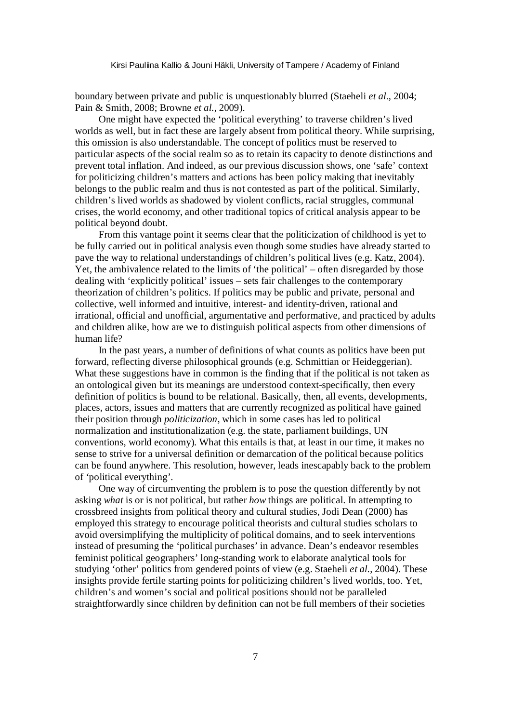boundary between private and public is unquestionably blurred (Staeheli *et al.*, 2004; Pain & Smith, 2008; Browne *et al.,* 2009).

One might have expected the 'political everything' to traverse children's lived worlds as well, but in fact these are largely absent from political theory. While surprising, this omission is also understandable. The concept of politics must be reserved to particular aspects of the social realm so as to retain its capacity to denote distinctions and prevent total inflation. And indeed, as our previous discussion shows, one 'safe' context for politicizing children's matters and actions has been policy making that inevitably belongs to the public realm and thus is not contested as part of the political. Similarly, children's lived worlds as shadowed by violent conflicts, racial struggles, communal crises, the world economy, and other traditional topics of critical analysis appear to be political beyond doubt.

From this vantage point it seems clear that the politicization of childhood is yet to be fully carried out in political analysis even though some studies have already started to pave the way to relational understandings of children's political lives (e.g. Katz, 2004). Yet, the ambivalence related to the limits of 'the political' – often disregarded by those dealing with 'explicitly political' issues – sets fair challenges to the contemporary theorization of children's politics. If politics may be public and private, personal and collective, well informed and intuitive, interest- and identity-driven, rational and irrational, official and unofficial, argumentative and performative, and practiced by adults and children alike, how are we to distinguish political aspects from other dimensions of human life?

In the past years, a number of definitions of what counts as politics have been put forward, reflecting diverse philosophical grounds (e.g. Schmittian or Heideggerian). What these suggestions have in common is the finding that if the political is not taken as an ontological given but its meanings are understood context-specifically, then every definition of politics is bound to be relational. Basically, then, all events, developments, places, actors, issues and matters that are currently recognized as political have gained their position through *politicization*, which in some cases has led to political normalization and institutionalization (e.g. the state, parliament buildings, UN conventions, world economy). What this entails is that, at least in our time, it makes no sense to strive for a universal definition or demarcation of the political because politics can be found anywhere. This resolution, however, leads inescapably back to the problem of 'political everything'.

One way of circumventing the problem is to pose the question differently by not asking *what* is or is not political, but rather *how* things are political. In attempting to crossbreed insights from political theory and cultural studies, Jodi Dean (2000) has employed this strategy to encourage political theorists and cultural studies scholars to avoid oversimplifying the multiplicity of political domains, and to seek interventions instead of presuming the 'political purchases' in advance. Dean's endeavor resembles feminist political geographers' long-standing work to elaborate analytical tools for studying 'other' politics from gendered points of view (e.g. Staeheli *et al.*, 2004). These insights provide fertile starting points for politicizing children's lived worlds, too. Yet, children's and women's social and political positions should not be paralleled straightforwardly since children by definition can not be full members of their societies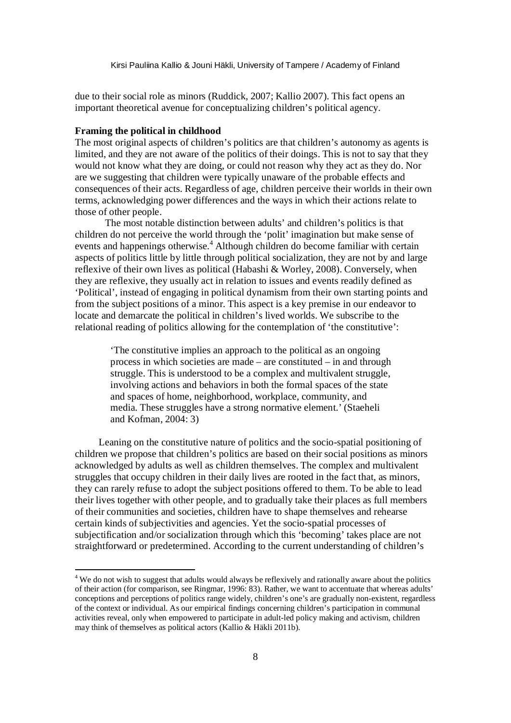due to their social role as minors (Ruddick, 2007; Kallio 2007). This fact opens an important theoretical avenue for conceptualizing children's political agency.

#### **Framing the political in childhood**

-

The most original aspects of children's politics are that children's autonomy as agents is limited, and they are not aware of the politics of their doings. This is not to say that they would not know what they are doing, or could not reason why they act as they do. Nor are we suggesting that children were typically unaware of the probable effects and consequences of their acts. Regardless of age, children perceive their worlds in their own terms, acknowledging power differences and the ways in which their actions relate to those of other people.

The most notable distinction between adults' and children's politics is that children do not perceive the world through the 'polit' imagination but make sense of events and happenings otherwise.<sup>4</sup> Although children do become familiar with certain aspects of politics little by little through political socialization, they are not by and large reflexive of their own lives as political (Habashi & Worley, 2008). Conversely, when they are reflexive, they usually act in relation to issues and events readily defined as 'Political', instead of engaging in political dynamism from their own starting points and from the subject positions of a minor. This aspect is a key premise in our endeavor to locate and demarcate the political in children's lived worlds. We subscribe to the relational reading of politics allowing for the contemplation of 'the constitutive':

'The constitutive implies an approach to the political as an ongoing process in which societies are made – are constituted – in and through struggle. This is understood to be a complex and multivalent struggle, involving actions and behaviors in both the formal spaces of the state and spaces of home, neighborhood, workplace, community, and media. These struggles have a strong normative element.' (Staeheli and Kofman, 2004: 3)

Leaning on the constitutive nature of politics and the socio-spatial positioning of children we propose that children's politics are based on their social positions as minors acknowledged by adults as well as children themselves. The complex and multivalent struggles that occupy children in their daily lives are rooted in the fact that, as minors, they can rarely refuse to adopt the subject positions offered to them. To be able to lead their lives together with other people, and to gradually take their places as full members of their communities and societies, children have to shape themselves and rehearse certain kinds of subjectivities and agencies. Yet the socio-spatial processes of subjectification and/or socialization through which this 'becoming' takes place are not straightforward or predetermined. According to the current understanding of children's

<sup>&</sup>lt;sup>4</sup> We do not wish to suggest that adults would always be reflexively and rationally aware about the politics of their action (for comparison, see Ringmar, 1996: 83). Rather, we want to accentuate that whereas adults' conceptions and perceptions of politics range widely, children's one's are gradually non-existent, regardless of the context or individual. As our empirical findings concerning children's participation in communal activities reveal, only when empowered to participate in adult-led policy making and activism, children may think of themselves as political actors (Kallio & Häkli 2011b).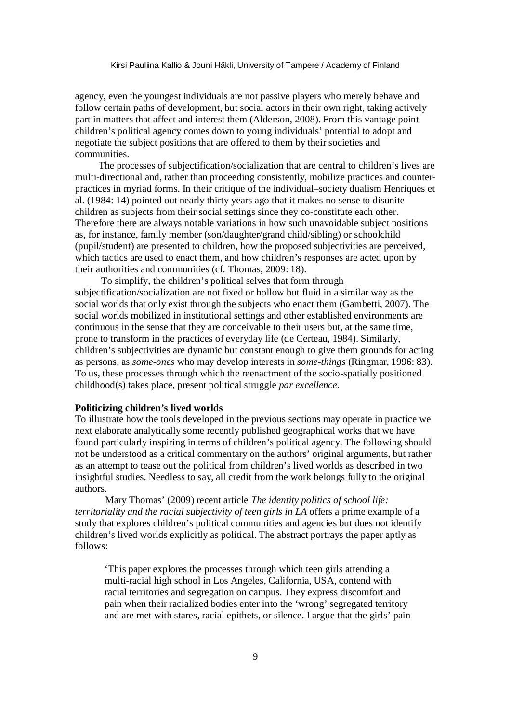agency, even the youngest individuals are not passive players who merely behave and follow certain paths of development, but social actors in their own right, taking actively part in matters that affect and interest them (Alderson, 2008). From this vantage point children's political agency comes down to young individuals' potential to adopt and negotiate the subject positions that are offered to them by their societies and communities.

The processes of subjectification/socialization that are central to children's lives are multi-directional and, rather than proceeding consistently, mobilize practices and counterpractices in myriad forms. In their critique of the individual–society dualism Henriques et al. (1984: 14) pointed out nearly thirty years ago that it makes no sense to disunite children as subjects from their social settings since they co-constitute each other. Therefore there are always notable variations in how such unavoidable subject positions as, for instance, family member (son/daughter/grand child/sibling) or schoolchild (pupil/student) are presented to children, how the proposed subjectivities are perceived, which tactics are used to enact them, and how children's responses are acted upon by their authorities and communities (cf. Thomas, 2009: 18).

 To simplify, the children's political selves that form through subjectification/socialization are not fixed or hollow but fluid in a similar way as the social worlds that only exist through the subjects who enact them (Gambetti, 2007). The social worlds mobilized in institutional settings and other established environments are continuous in the sense that they are conceivable to their users but, at the same time, prone to transform in the practices of everyday life (de Certeau, 1984). Similarly, children's subjectivities are dynamic but constant enough to give them grounds for acting as persons, as *some-ones* who may develop interests in *some-things* (Ringmar, 1996: 83). To us, these processes through which the reenactment of the socio-spatially positioned childhood(s) takes place, present political struggle *par excellence*.

### **Politicizing children's lived worlds**

To illustrate how the tools developed in the previous sections may operate in practice we next elaborate analytically some recently published geographical works that we have found particularly inspiring in terms of children's political agency. The following should not be understood as a critical commentary on the authors' original arguments, but rather as an attempt to tease out the political from children's lived worlds as described in two insightful studies. Needless to say, all credit from the work belongs fully to the original authors.

Mary Thomas' (2009) recent article *The identity politics of school life: territoriality and the racial subjectivity of teen girls in LA* offers a prime example of a study that explores children's political communities and agencies but does not identify children's lived worlds explicitly as political. The abstract portrays the paper aptly as follows:

'This paper explores the processes through which teen girls attending a multi-racial high school in Los Angeles, California, USA, contend with racial territories and segregation on campus. They express discomfort and pain when their racialized bodies enter into the 'wrong' segregated territory and are met with stares, racial epithets, or silence. I argue that the girls' pain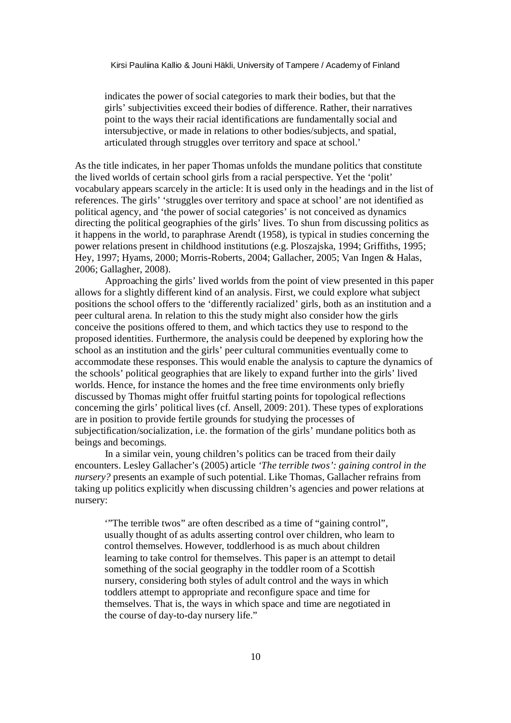indicates the power of social categories to mark their bodies, but that the girls' subjectivities exceed their bodies of difference. Rather, their narratives point to the ways their racial identifications are fundamentally social and intersubjective, or made in relations to other bodies/subjects, and spatial, articulated through struggles over territory and space at school.'

As the title indicates, in her paper Thomas unfolds the mundane politics that constitute the lived worlds of certain school girls from a racial perspective. Yet the 'polit' vocabulary appears scarcely in the article: It is used only in the headings and in the list of references. The girls' 'struggles over territory and space at school' are not identified as political agency, and 'the power of social categories' is not conceived as dynamics directing the political geographies of the girls' lives. To shun from discussing politics as it happens in the world, to paraphrase Arendt (1958), is typical in studies concerning the power relations present in childhood institutions (e.g. Ploszajska, 1994; Griffiths, 1995; Hey, 1997; Hyams, 2000; Morris-Roberts, 2004; Gallacher, 2005; Van Ingen & Halas, 2006; Gallagher, 2008).

Approaching the girls' lived worlds from the point of view presented in this paper allows for a slightly different kind of an analysis. First, we could explore what subject positions the school offers to the 'differently racialized' girls, both as an institution and a peer cultural arena. In relation to this the study might also consider how the girls conceive the positions offered to them, and which tactics they use to respond to the proposed identities. Furthermore, the analysis could be deepened by exploring how the school as an institution and the girls' peer cultural communities eventually come to accommodate these responses. This would enable the analysis to capture the dynamics of the schools' political geographies that are likely to expand further into the girls' lived worlds. Hence, for instance the homes and the free time environments only briefly discussed by Thomas might offer fruitful starting points for topological reflections concerning the girls' political lives (cf. Ansell, 2009: 201). These types of explorations are in position to provide fertile grounds for studying the processes of subjectification/socialization, i.e. the formation of the girls' mundane politics both as beings and becomings.

In a similar vein, young children's politics can be traced from their daily encounters. Lesley Gallacher's (2005) article *'The terrible twos': gaining control in the nursery?* presents an example of such potential. Like Thomas, Gallacher refrains from taking up politics explicitly when discussing children's agencies and power relations at nursery:

'"The terrible twos" are often described as a time of "gaining control", usually thought of as adults asserting control over children, who learn to control themselves. However, toddlerhood is as much about children learning to take control for themselves. This paper is an attempt to detail something of the social geography in the toddler room of a Scottish nursery, considering both styles of adult control and the ways in which toddlers attempt to appropriate and reconfigure space and time for themselves. That is, the ways in which space and time are negotiated in the course of day-to-day nursery life."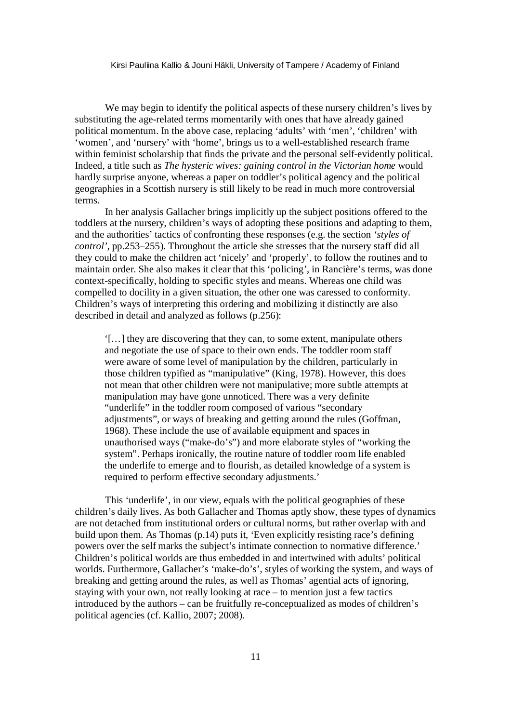We may begin to identify the political aspects of these nursery children's lives by substituting the age-related terms momentarily with ones that have already gained political momentum. In the above case, replacing 'adults' with 'men', 'children' with 'women', and 'nursery' with 'home', brings us to a well-established research frame within feminist scholarship that finds the private and the personal self-evidently political. Indeed, a title such as *The hysteric wives: gaining control in the Victorian home* would hardly surprise anyone, whereas a paper on toddler's political agency and the political geographies in a Scottish nursery is still likely to be read in much more controversial terms.

In her analysis Gallacher brings implicitly up the subject positions offered to the toddlers at the nursery, children's ways of adopting these positions and adapting to them, and the authorities' tactics of confronting these responses (e.g. the section *'styles of control'*, pp.253–255). Throughout the article she stresses that the nursery staff did all they could to make the children act 'nicely' and 'properly', to follow the routines and to maintain order. She also makes it clear that this 'policing', in Rancière's terms, was done context-specifically, holding to specific styles and means. Whereas one child was compelled to docility in a given situation, the other one was caressed to conformity. Children's ways of interpreting this ordering and mobilizing it distinctly are also described in detail and analyzed as follows (p.256):

'[…] they are discovering that they can, to some extent, manipulate others and negotiate the use of space to their own ends. The toddler room staff were aware of some level of manipulation by the children, particularly in those children typified as "manipulative" (King, 1978). However, this does not mean that other children were not manipulative; more subtle attempts at manipulation may have gone unnoticed. There was a very definite "underlife" in the toddler room composed of various "secondary adjustments", or ways of breaking and getting around the rules (Goffman, 1968). These include the use of available equipment and spaces in unauthorised ways ("make-do's") and more elaborate styles of "working the system". Perhaps ironically, the routine nature of toddler room life enabled the underlife to emerge and to flourish, as detailed knowledge of a system is required to perform effective secondary adjustments.'

This 'underlife', in our view, equals with the political geographies of these children's daily lives. As both Gallacher and Thomas aptly show, these types of dynamics are not detached from institutional orders or cultural norms, but rather overlap with and build upon them. As Thomas (p.14) puts it, 'Even explicitly resisting race's defining powers over the self marks the subject's intimate connection to normative difference.' Children's political worlds are thus embedded in and intertwined with adults' political worlds. Furthermore, Gallacher's 'make-do's', styles of working the system, and ways of breaking and getting around the rules, as well as Thomas' agential acts of ignoring, staying with your own, not really looking at race – to mention just a few tactics introduced by the authors – can be fruitfully re-conceptualized as modes of children's political agencies (cf. Kallio, 2007; 2008).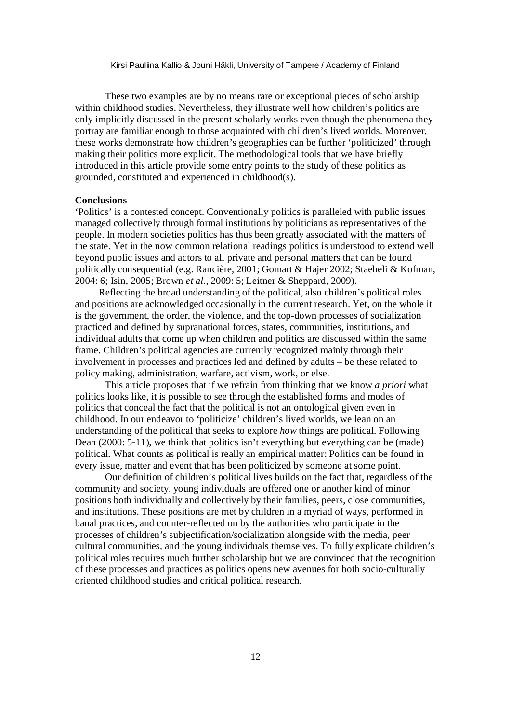These two examples are by no means rare or exceptional pieces of scholarship within childhood studies. Nevertheless, they illustrate well how children's politics are only implicitly discussed in the present scholarly works even though the phenomena they portray are familiar enough to those acquainted with children's lived worlds. Moreover, these works demonstrate how children's geographies can be further 'politicized' through making their politics more explicit. The methodological tools that we have briefly introduced in this article provide some entry points to the study of these politics as grounded, constituted and experienced in childhood(s).

#### **Conclusions**

'Politics' is a contested concept. Conventionally politics is paralleled with public issues managed collectively through formal institutions by politicians as representatives of the people. In modern societies politics has thus been greatly associated with the matters of the state. Yet in the now common relational readings politics is understood to extend well beyond public issues and actors to all private and personal matters that can be found politically consequential (e.g. Rancière, 2001; Gomart & Hajer 2002; Staeheli & Kofman, 2004: 6; Isin, 2005; Brown *et al.*, 2009: 5; Leitner & Sheppard, 2009).

Reflecting the broad understanding of the political, also children's political roles and positions are acknowledged occasionally in the current research. Yet, on the whole it is the government, the order, the violence, and the top-down processes of socialization practiced and defined by supranational forces, states, communities, institutions, and individual adults that come up when children and politics are discussed within the same frame. Children's political agencies are currently recognized mainly through their involvement in processes and practices led and defined by adults – be these related to policy making, administration, warfare, activism, work, or else.

This article proposes that if we refrain from thinking that we know *a priori* what politics looks like, it is possible to see through the established forms and modes of politics that conceal the fact that the political is not an ontological given even in childhood. In our endeavor to 'politicize' children's lived worlds, we lean on an understanding of the political that seeks to explore *how* things are political. Following Dean (2000: 5-11), we think that politics isn't everything but everything can be (made) political. What counts as political is really an empirical matter: Politics can be found in every issue, matter and event that has been politicized by someone at some point.

Our definition of children's political lives builds on the fact that, regardless of the community and society, young individuals are offered one or another kind of minor positions both individually and collectively by their families, peers, close communities, and institutions. These positions are met by children in a myriad of ways, performed in banal practices, and counter-reflected on by the authorities who participate in the processes of children's subjectification/socialization alongside with the media, peer cultural communities, and the young individuals themselves. To fully explicate children's political roles requires much further scholarship but we are convinced that the recognition of these processes and practices as politics opens new avenues for both socio-culturally oriented childhood studies and critical political research.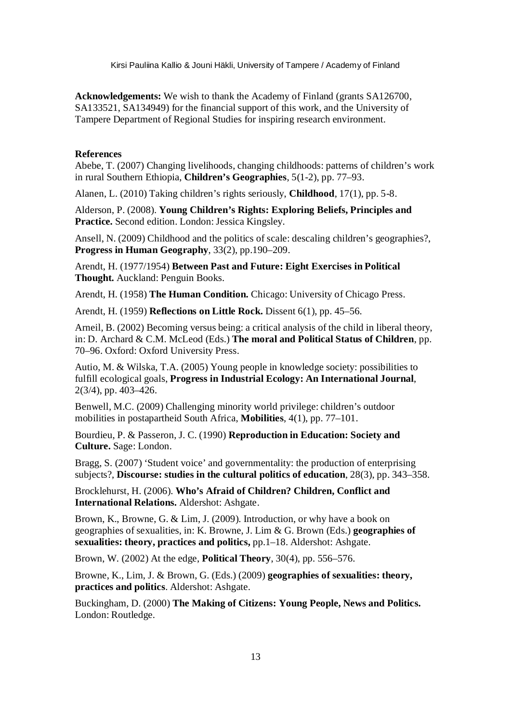**Acknowledgements:** We wish to thank the Academy of Finland (grants SA126700, SA133521, SA134949) for the financial support of this work, and the University of Tampere Department of Regional Studies for inspiring research environment.

#### **References**

Abebe, T. (2007) Changing livelihoods, changing childhoods: patterns of children's work in rural Southern Ethiopia, **Children's Geographies**, 5(1-2), pp. 77–93.

Alanen, L. (2010) Taking children's rights seriously, **Childhood**, 17(1), pp. 5-8.

Alderson, P. (2008). **Young Children's Rights: Exploring Beliefs, Principles and Practice.** Second edition. London: Jessica Kingsley.

Ansell, N. (2009) Childhood and the politics of scale: descaling children's geographies?, **Progress in Human Geography**, 33(2), pp.190–209.

Arendt, H. (1977/1954) **Between Past and Future: Eight Exercises in Political Thought.** Auckland: Penguin Books.

Arendt, H. (1958) **The Human Condition.** Chicago: University of Chicago Press.

Arendt, H. (1959) **Reflections on Little Rock.** Dissent 6(1), pp. 45–56.

Arneil, B. (2002) Becoming versus being: a critical analysis of the child in liberal theory, in: D. Archard & C.M. McLeod (Eds.) **The moral and Political Status of Children**, pp. 70–96. Oxford: Oxford University Press.

Autio, M. & Wilska, T.A. (2005) Young people in knowledge society: possibilities to fulfill ecological goals, **Progress in Industrial Ecology: An International Journal**, 2(3/4), pp. 403–426.

Benwell, M.C. (2009) Challenging minority world privilege: children's outdoor mobilities in postapartheid South Africa, **Mobilities**, 4(1), pp. 77–101.

Bourdieu, P. & Passeron, J. C. (1990) **Reproduction in Education: Society and Culture.** Sage: London.

Bragg, S. (2007) 'Student voice' and governmentality: the production of enterprising subjects?, **Discourse: studies in the cultural politics of education**, 28(3), pp. 343–358.

Brocklehurst, H. (2006). **Who's Afraid of Children? Children, Conflict and International Relations.** Aldershot: Ashgate.

Brown, K., Browne, G. & Lim, J. (2009). Introduction, or why have a book on geographies of sexualities, in: K. Browne, J. Lim & G. Brown (Eds.) **geographies of sexualities: theory, practices and politics,** pp.1–18. Aldershot: Ashgate.

Brown, W. (2002) At the edge, **Political Theory**, 30(4), pp. 556–576.

Browne, K., Lim, J. & Brown, G. (Eds.) (2009) **geographies of sexualities: theory, practices and politics**. Aldershot: Ashgate.

Buckingham, D. (2000) **The Making of Citizens: Young People, News and Politics.** London: Routledge.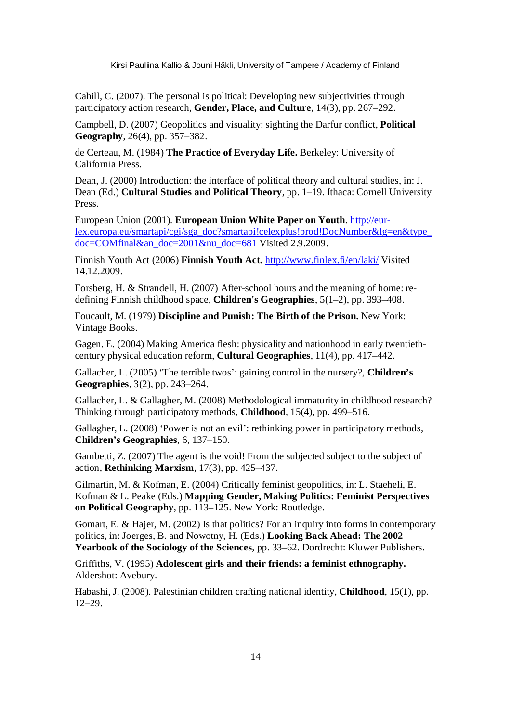Cahill, C. (2007). The personal is political: Developing new subjectivities through participatory action research, **Gender, Place, and Culture**, 14(3), pp. 267–292.

Campbell, D. (2007) Geopolitics and visuality: sighting the Darfur conflict, **Political Geography**, 26(4), pp. 357–382.

de Certeau, M. (1984) **The Practice of Everyday Life.** Berkeley: University of California Press.

Dean, J. (2000) Introduction: the interface of political theory and cultural studies, in: J. Dean (Ed.) **Cultural Studies and Political Theory**, pp. 1–19. Ithaca: Cornell University Press.

European Union (2001). **European Union White Paper on Youth**. http://eurlex.europa.eu/smartapi/cgi/sga\_doc?smartapi!celexplus!prod!DocNumber&lg=en&type\_  $doc=COMfinal&an\ doc=2001ν\ doc=681$  Visited 2.9.2009.

Finnish Youth Act (2006) **Finnish Youth Act.** http://www.finlex.fi/en/laki/ Visited 14.12.2009.

Forsberg, H. & Strandell, H. (2007) After-school hours and the meaning of home: redefining Finnish childhood space, **Children's Geographies**, 5(1–2), pp. 393–408.

Foucault, M. (1979) **Discipline and Punish: The Birth of the Prison.** New York: Vintage Books.

Gagen, E. (2004) Making America flesh: physicality and nationhood in early twentiethcentury physical education reform, **Cultural Geographies**, 11(4), pp. 417–442.

Gallacher, L. (2005) 'The terrible twos': gaining control in the nursery?, **Children's Geographies**, 3(2), pp. 243–264.

Gallacher, L. & Gallagher, M. (2008) Methodological immaturity in childhood research? Thinking through participatory methods, **Childhood**, 15(4), pp. 499–516.

Gallagher, L. (2008) 'Power is not an evil': rethinking power in participatory methods, **Children's Geographies**, 6, 137–150.

Gambetti, Z. (2007) The agent is the void! From the subjected subject to the subject of action, **Rethinking Marxism**, 17(3), pp. 425–437.

Gilmartin, M. & Kofman, E. (2004) Critically feminist geopolitics, in: L. Staeheli, E. Kofman & L. Peake (Eds.) **Mapping Gender, Making Politics: Feminist Perspectives on Political Geography**, pp. 113–125. New York: Routledge.

Gomart, E. & Hajer, M. (2002) Is that politics? For an inquiry into forms in contemporary politics, in: Joerges, B. and Nowotny, H. (Eds.) **Looking Back Ahead: The 2002 Yearbook of the Sociology of the Sciences**, pp. 33–62. Dordrecht: Kluwer Publishers.

Griffiths, V. (1995) **Adolescent girls and their friends: a feminist ethnography.** Aldershot: Avebury.

Habashi, J. (2008). Palestinian children crafting national identity, **Childhood**, 15(1), pp. 12–29.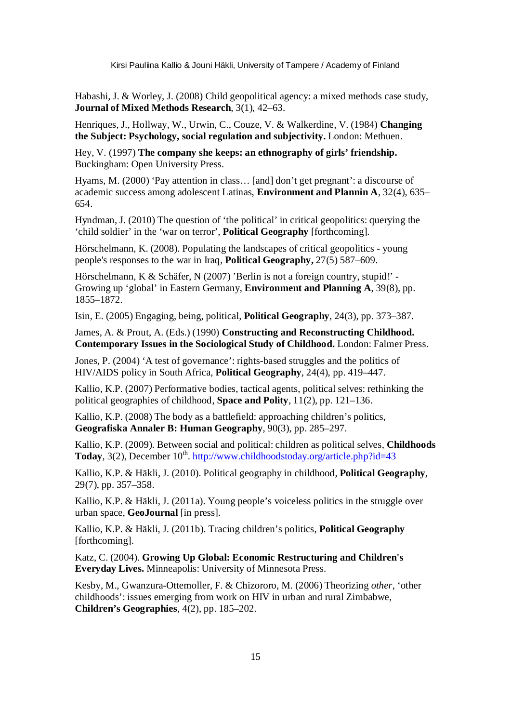Habashi, J. & Worley, J. (2008) Child geopolitical agency: a mixed methods case study, **Journal of Mixed Methods Research**, 3(1), 42–63.

Henriques, J., Hollway, W., Urwin, C., Couze, V. & Walkerdine, V. (1984) **Changing the Subject: Psychology, social regulation and subjectivity.** London: Methuen.

Hey, V. (1997) **The company she keeps: an ethnography of girls' friendship.** Buckingham: Open University Press.

Hyams, M. (2000) 'Pay attention in class… [and] don't get pregnant': a discourse of academic success among adolescent Latinas, **Environment and Plannin A**, 32(4), 635– 654.

Hyndman, J. (2010) The question of 'the political' in critical geopolitics: querying the 'child soldier' in the 'war on terror', **Political Geography** [forthcoming].

Hörschelmann, K. (2008). Populating the landscapes of critical geopolitics - young people's responses to the war in Iraq, **Political Geography,** 27(5) 587–609.

Hörschelmann, K & Schäfer, N (2007) 'Berlin is not a foreign country, stupid!' -Growing up 'global' in Eastern Germany, **Environment and Planning A**, 39(8), pp. 1855–1872.

Isin, E. (2005) Engaging, being, political, **Political Geography**, 24(3), pp. 373–387.

James, A. & Prout, A. (Eds.) (1990) **Constructing and Reconstructing Childhood. Contemporary Issues in the Sociological Study of Childhood.** London: Falmer Press.

Jones, P. (2004) 'A test of governance': rights-based struggles and the politics of HIV/AIDS policy in South Africa, **Political Geography**, 24(4), pp. 419–447.

Kallio, K.P. (2007) Performative bodies, tactical agents, political selves: rethinking the political geographies of childhood, **Space and Polity**, 11(2), pp. 121–136.

Kallio, K.P. (2008) The body as a battlefield: approaching children's politics, **Geografiska Annaler B: Human Geography**, 90(3), pp. 285–297.

Kallio, K.P. (2009). Between social and political: children as political selves, **Childhoods**  Today, 3(2), December 10<sup>th</sup>. http://www.childhoodstoday.org/article.php?id=43

Kallio, K.P. & Häkli, J. (2010). Political geography in childhood, **Political Geography**, 29(7), pp. 357–358.

Kallio, K.P. & Häkli, J. (2011a). Young people's voiceless politics in the struggle over urban space, **GeoJournal** [in press].

Kallio, K.P. & Häkli, J. (2011b). Tracing children's politics, **Political Geography** [forthcoming].

Katz, C. (2004). **Growing Up Global: Economic Restructuring and Children's Everyday Lives.** Minneapolis: University of Minnesota Press.

Kesby, M., Gwanzura-Ottemoller, F. & Chizororo, M. (2006) Theorizing *other*, 'other childhoods': issues emerging from work on HIV in urban and rural Zimbabwe, **Children's Geographies**, 4(2), pp. 185–202.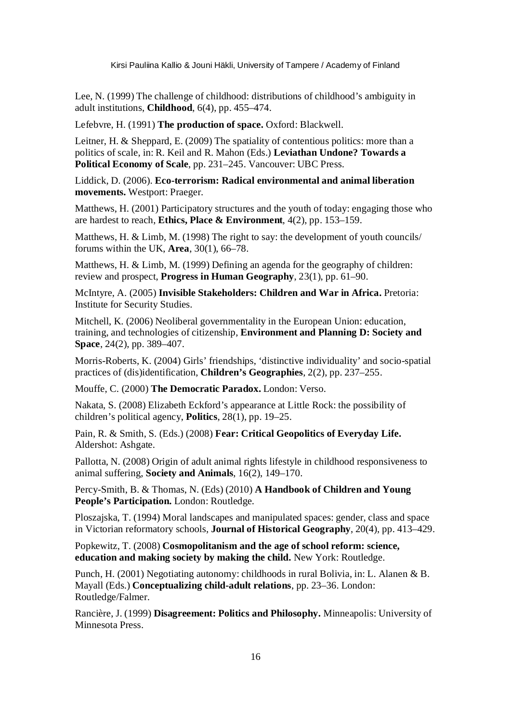Lee, N. (1999) The challenge of childhood: distributions of childhood's ambiguity in adult institutions, **Childhood**, 6(4), pp. 455–474.

Lefebvre, H. (1991) **The production of space.** Oxford: Blackwell.

Leitner, H. & Sheppard, E. (2009) The spatiality of contentious politics: more than a politics of scale, in: R. Keil and R. Mahon (Eds.) **Leviathan Undone? Towards a Political Economy of Scale**, pp. 231–245. Vancouver: UBC Press.

Liddick, D. (2006). **Eco-terrorism: Radical environmental and animal liberation movements.** Westport: Praeger.

Matthews, H. (2001) Participatory structures and the youth of today: engaging those who are hardest to reach, **Ethics, Place & Environment**, 4(2), pp. 153–159.

Matthews, H. & Limb, M. (1998) The right to say: the development of youth councils/ forums within the UK, **Area**, 30(1), 66–78.

Matthews, H. & Limb, M. (1999) Defining an agenda for the geography of children: review and prospect, **Progress in Human Geography**, 23(1), pp. 61–90.

McIntyre, A. (2005) **Invisible Stakeholders: Children and War in Africa.** Pretoria: Institute for Security Studies.

Mitchell, K. (2006) Neoliberal governmentality in the European Union: education, training, and technologies of citizenship, **Environment and Planning D: Society and Space**, 24(2), pp. 389–407.

Morris-Roberts, K. (2004) Girls' friendships, 'distinctive individuality' and socio-spatial practices of (dis)identification, **Children's Geographies**, 2(2), pp. 237–255.

Mouffe, C. (2000) **The Democratic Paradox.** London: Verso.

Nakata, S. (2008) Elizabeth Eckford's appearance at Little Rock: the possibility of children's political agency, **Politics**, 28(1), pp. 19–25.

Pain, R. & Smith, S. (Eds.) (2008) **Fear: Critical Geopolitics of Everyday Life.** Aldershot: Ashgate.

Pallotta, N. (2008) Origin of adult animal rights lifestyle in childhood responsiveness to animal suffering, **Society and Animals**, 16(2), 149–170.

Percy-Smith, B. & Thomas, N. (Eds) (2010) **A Handbook of Children and Young People's Participation.** London: Routledge.

Ploszajska, T. (1994) Moral landscapes and manipulated spaces: gender, class and space in Victorian reformatory schools, **Journal of Historical Geography**, 20(4), pp. 413–429.

Popkewitz, T. (2008) **Cosmopolitanism and the age of school reform: science, education and making society by making the child.** New York: Routledge.

Punch, H. (2001) Negotiating autonomy: childhoods in rural Bolivia, in: L. Alanen & B. Mayall (Eds.) **Conceptualizing child-adult relations**, pp. 23–36. London: Routledge/Falmer.

Rancière, J. (1999) **Disagreement: Politics and Philosophy.** Minneapolis: University of Minnesota Press.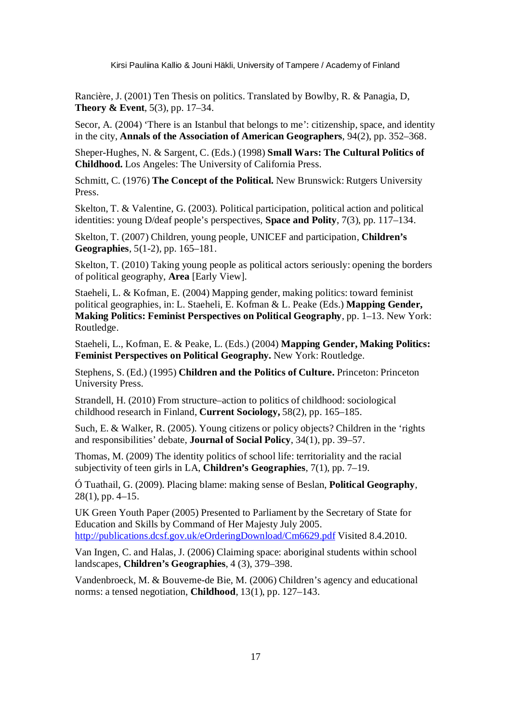Rancière, J. (2001) Ten Thesis on politics. Translated by Bowlby, R. & Panagia, D, **Theory & Event**, 5(3), pp. 17–34.

Secor, A. (2004) 'There is an Istanbul that belongs to me': citizenship, space, and identity in the city, **Annals of the Association of American Geographers**, 94(2), pp. 352–368.

Sheper-Hughes, N. & Sargent, C. (Eds.) (1998) **Small Wars: The Cultural Politics of Childhood.** Los Angeles: The University of California Press.

Schmitt, C. (1976) **The Concept of the Political.** New Brunswick: Rutgers University Press.

Skelton, T. & Valentine, G. (2003). Political participation, political action and political identities: young D/deaf people's perspectives, **Space and Polity**, 7(3), pp. 117–134.

Skelton, T. (2007) Children, young people, UNICEF and participation, **Children's Geographies**, 5(1-2), pp. 165–181.

Skelton, T. (2010) Taking young people as political actors seriously: opening the borders of political geography, **Area** [Early View].

Staeheli, L. & Kofman, E. (2004) Mapping gender, making politics: toward feminist political geographies, in: L. Staeheli, E. Kofman & L. Peake (Eds.) **Mapping Gender, Making Politics: Feminist Perspectives on Political Geography**, pp. 1–13. New York: Routledge.

Staeheli, L., Kofman, E. & Peake, L. (Eds.) (2004) **Mapping Gender, Making Politics: Feminist Perspectives on Political Geography.** New York: Routledge.

Stephens, S. (Ed.) (1995) **Children and the Politics of Culture.** Princeton: Princeton University Press.

Strandell, H. (2010) From structure–action to politics of childhood: sociological childhood research in Finland, **Current Sociology,** 58(2), pp. 165–185.

Such, E. & Walker, R. (2005). Young citizens or policy objects? Children in the 'rights and responsibilities' debate, **Journal of Social Policy**, 34(1), pp. 39–57.

Thomas, M. (2009) The identity politics of school life: territoriality and the racial subjectivity of teen girls in LA, **Children's Geographies**, 7(1), pp. 7–19.

Ó Tuathail, G. (2009). Placing blame: making sense of Beslan, **Political Geography**, 28(1), pp. 4–15.

UK Green Youth Paper (2005) Presented to Parliament by the Secretary of State for Education and Skills by Command of Her Majesty July 2005. http://publications.dcsf.gov.uk/eOrderingDownload/Cm6629.pdf Visited 8.4.2010.

Van Ingen, C. and Halas, J. (2006) Claiming space: aboriginal students within school landscapes, **Children's Geographies**, 4 (3), 379–398.

Vandenbroeck, M. & Bouverne-de Bie, M. (2006) Children's agency and educational norms: a tensed negotiation, **Childhood**, 13(1), pp. 127–143.